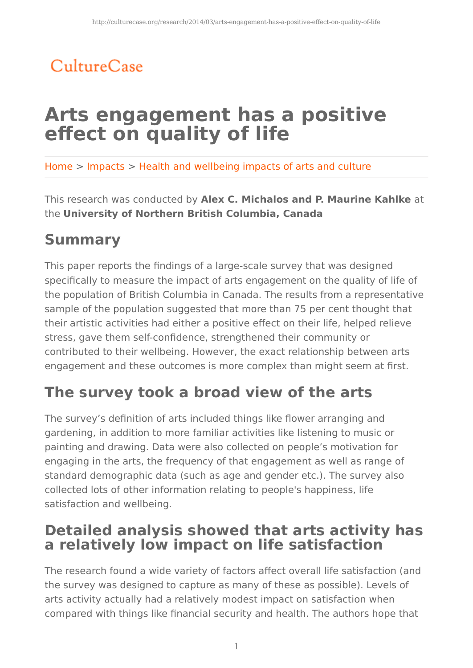## CultureCase

# **Arts engagement has a positive effect on quality of life**

Home > Impacts > Health and wellbeing impacts of arts and culture

This research was conducted by **Alex C. Michalos and P. Maurine Kahlke** at the **University of Northern British Columbia, Canada**

## **Summary**

This paper reports the findings of a large-scale survey that was designed specifically to measure the impact of arts engagement on the quality of life of the population of British Columbia in Canada. The results from a representative sample of the population suggested that more than 75 per cent thought that their artistic activities had either a positive effect on their life, helped relieve stress, gave them self-confidence, strengthened their community or contributed to their wellbeing. However, the exact relationship between arts engagement and these outcomes is more complex than might seem at first.

## **The survey took a broad view of the arts**

The survey's definition of arts included things like flower arranging and gardening, in addition to more familiar activities like listening to music or painting and drawing. Data were also collected on people's motivation for engaging in the arts, the frequency of that engagement as well as range of standard demographic data (such as age and gender etc.). The survey also collected lots of other information relating to people's happiness, life satisfaction and wellbeing.

#### **Detailed analysis showed that arts activity has a relatively low impact on life satisfaction**

The research found a wide variety of factors affect overall life satisfaction (and the survey was designed to capture as many of these as possible). Levels of arts activity actually had a relatively modest impact on satisfaction when compared with things like financial security and health. The authors hope that